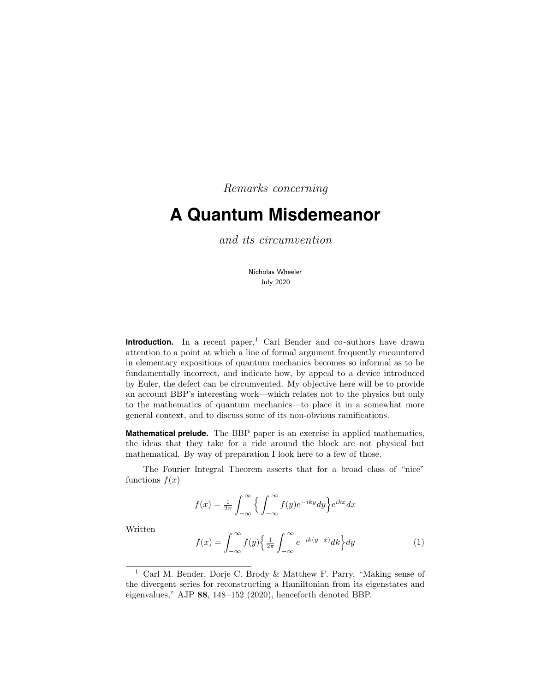Remarks concerning

# **A Quantum Misdemeanor**

and its circumvention

Nicholas Wheeler July 2020

**Introduction.** In a recent paper,<sup>1</sup> Carl Bender and co-authors have drawn attention to a point at which a line of formal argument frequently encountered in elementary expositions of quantum mechanics becomes so informal as to be fundamentally incorrect, and indicate how, by appeal to a device introduced by Euler, the defect can be circumvented. My objective here will be to provide an account BBP's interesting work—which relates not to the physics but only to the mathematics of quantum mechanics—to place it in a somewhat more general context, and to discuss some of its non-obvious ramifications.

**Mathematical prelude.** The BBP paper is an exercise in applied mathematics, the ideas that they take for a ride around the block are not physical but mathematical. By way of preparation I look here to a few of those.

The Fourier Integral Theorem asserts that for a broad class of "nice" functions  $f(x)$ 

$$
f(x) = \frac{1}{2\pi} \int_{-\infty}^{\infty} \left\{ \int_{-\infty}^{\infty} f(y)e^{-iky}dy \right\} e^{ikx}dx
$$

Written

$$
f(x) = \int_{-\infty}^{\infty} f(y) \left\{ \frac{1}{2\pi} \int_{-\infty}^{\infty} e^{-ik(y-x)} dk \right\} dy \tag{1}
$$

<sup>1</sup> Carl M. Bender, Dorje C. Brody & Matthew F. Parry, "Making sense of the divergent series for reconstructing a Hamiltonian from its eigenstates and eigenvalues," AJP 88, 148–152 (2020), henceforth denoted BBP.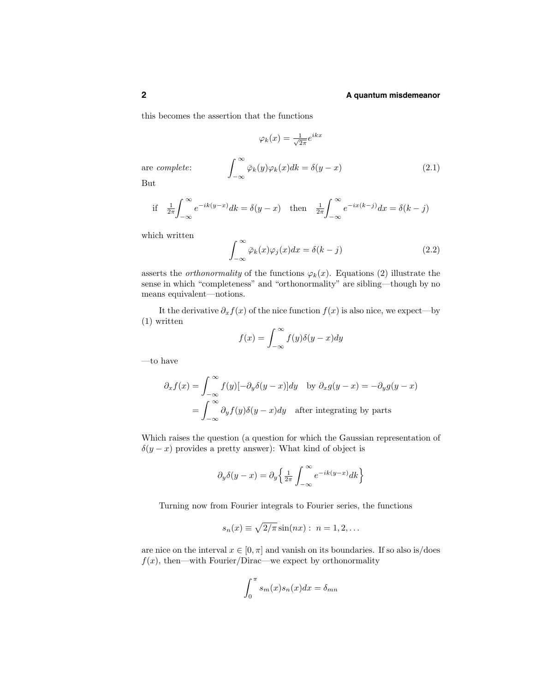this becomes the assertion that the functions

$$
\varphi_k(x) = \frac{1}{\sqrt{2\pi}} e^{ikx}
$$
  
are *complete*:
$$
\int_{-\infty}^{\infty} \bar{\varphi}_k(y) \varphi_k(x) dk = \delta(y - x)
$$
(2.1)

But

if 
$$
\frac{1}{2\pi} \int_{-\infty}^{\infty} e^{-ik(y-x)} dk = \delta(y-x)
$$
 then  $\frac{1}{2\pi} \int_{-\infty}^{\infty} e^{-ix(k-j)} dx = \delta(k-j)$ 

which written

$$
\int_{-\infty}^{\infty} \bar{\varphi}_k(x)\varphi_j(x)dx = \delta(k-j)
$$
\n(2.2)

asserts the *orthonormality* of the functions  $\varphi_k(x)$ . Equations (2) illustrate the sense in which "completeness" and "orthonormality" are sibling—though by no means equivalent—notions.

It the derivative  $\partial_x f(x)$  of the nice function  $f(x)$  is also nice, we expect—by (1) written

$$
f(x) = \int_{-\infty}^{\infty} f(y)\delta(y - x)dy
$$

—to have

$$
\partial_x f(x) = \int_{-\infty}^{\infty} f(y) [-\partial_y \delta(y - x)] dy \text{ by } \partial_x g(y - x) = -\partial_y g(y - x)
$$

$$
= \int_{-\infty}^{\infty} \partial_y f(y) \delta(y - x) dy \text{ after integrating by parts}
$$

Which raises the question (a question for which the Gaussian representation of  $\delta(y-x)$  provides a pretty answer): What kind of object is

$$
\partial_y \delta(y - x) = \partial_y \left\{ \frac{1}{2\pi} \int_{-\infty}^{\infty} e^{-ik(y - x)} dk \right\}
$$

Turning now from Fourier integrals to Fourier series, the functions

$$
s_n(x) \equiv \sqrt{2/\pi} \sin(nx) : n = 1, 2, \dots
$$

are nice on the interval  $x \in [0, \pi]$  and vanish on its boundaries. If so also is/does  $f(x)$ , then—with Fourier/Dirac—we expect by orthonormality

$$
\int_0^\pi s_m(x)s_n(x)dx = \delta_{mn}
$$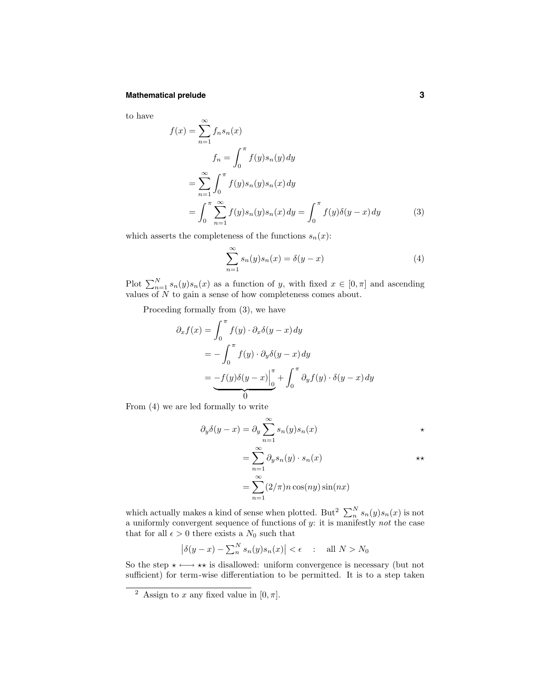#### **Mathematical prelude 3**

to have

$$
f(x) = \sum_{n=1}^{\infty} f_n s_n(x)
$$
  
\n
$$
f_n = \int_0^{\pi} f(y) s_n(y) dy
$$
  
\n
$$
= \sum_{n=1}^{\infty} \int_0^{\pi} f(y) s_n(y) s_n(x) dy
$$
  
\n
$$
= \int_0^{\pi} \sum_{n=1}^{\infty} f(y) s_n(y) s_n(x) dy = \int_0^{\pi} f(y) \delta(y - x) dy
$$
 (3)

which asserts the completeness of the functions  $s_n(x)$ :

$$
\sum_{n=1}^{\infty} s_n(y)s_n(x) = \delta(y-x)
$$
\n(4)

Plot  $\sum_{n=1}^{N} s_n(y)s_n(x)$  as a function of y, with fixed  $x \in [0, \pi]$  and ascending values of N to gain a sense of how completeness comes about.

Proceding formally from (3), we have

$$
\partial_x f(x) = \int_0^{\pi} f(y) \cdot \partial_x \delta(y - x) dy
$$
  
=  $-\int_0^{\pi} f(y) \cdot \partial_y \delta(y - x) dy$   
=  $-f(y) \delta(y - x) \Big|_0^{\pi} + \int_0^{\pi} \partial_y f(y) \cdot \delta(y - x) dy$ 

From (4) we are led formally to write

$$
\partial_y \delta(y - x) = \partial_y \sum_{n=1}^{\infty} s_n(y) s_n(x) \qquad \longrightarrow
$$
  
= 
$$
\sum_{n=1}^{\infty} \partial_y s_n(y) \cdot s_n(x) \qquad \longrightarrow
$$
  
= 
$$
\sum_{n=1}^{\infty} (2/\pi) n \cos(ny) \sin(nx)
$$

which actually makes a kind of sense when plotted. But<sup>2</sup>  $\sum_{n=1}^{N} s_n(y) s_n(x)$  is not a uniformly convergent sequence of functions of  $y$ : it is manifestly not the case that for all  $\epsilon > 0$  there exists a  $N_0$  such that

$$
\left|\delta(y-x) - \sum_{n=0}^{N} s_n(y)s_n(x)\right| < \epsilon \quad : \quad \text{all } N > N_0
$$

So the step  $\star \longleftrightarrow \star \star$  is disallowed: uniform convergence is necessary (but not sufficient) for term-wise differentiation to be permitted. It is to a step taken

<sup>&</sup>lt;sup>2</sup> Assign to x any fixed value in  $[0, \pi]$ .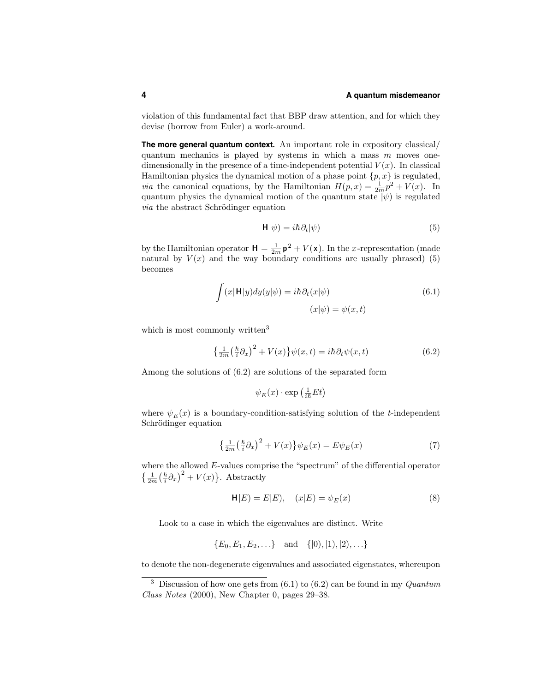violation of this fundamental fact that BBP draw attention, and for which they devise (borrow from Euler) a work-around.

**The more general quantum context.** An important role in expository classical/ quantum mechanics is played by systems in which a mass  $m$  moves onedimensionally in the presence of a time-independent potential  $V(x)$ . In classical Hamiltonian physics the dynamical motion of a phase point  $\{p, x\}$  is regulated, *via* the canonical equations, by the Hamiltonian  $H(p, x) = \frac{1}{2m}p^2 + V(x)$ . In quantum physics the dynamical motion of the quantum state  $|\psi\rangle$  is regulated *via* the abstract Schrödinger equation

$$
\mathbf{H}|\psi) = i\hbar \partial_t |\psi\rangle \tag{5}
$$

by the Hamiltonian operator  $\mathbf{H} = \frac{1}{2m} \mathbf{p}^2 + V(\mathbf{x})$ . In the *x*-representation (made natural by  $V(x)$  and the way boundary conditions are usually phrased) (5) becomes

$$
\int (x|\mathbf{H}|y)dy(y|\psi) = i\hbar \partial_t(x|\psi)
$$
\n
$$
(x|\psi) = \psi(x,t)
$$
\n(6.1)

which is most commonly written<sup>3</sup>

$$
\left\{\frac{1}{2m}\left(\frac{\hbar}{i}\partial_{x}\right)^{2} + V(x)\right\}\psi(x,t) = i\hbar\partial_{t}\psi(x,t)
$$
\n(6.2)

Among the solutions of (6.2) are solutions of the separated form

$$
\psi_E(x) \cdot \exp\left(\frac{1}{i\hbar}Et\right)
$$

where  $\psi_E(x)$  is a boundary-condition-satisfying solution of the t-independent Schrödinger equation

$$
\left\{\frac{1}{2m}\left(\frac{\hbar}{i}\partial_{x}\right)^{2} + V(x)\right\}\psi_{E}(x) = E\psi_{E}(x)
$$
\n<sup>(7)</sup>

where the allowed  $E$ -values comprise the "spectrum" of the differential operator  $\left\{\frac{1}{2m}\left(\frac{\hbar}{i}\partial_x\right)^2 + V(x)\right\}$ . Abstractly

$$
\mathbf{H}|E) = E|E|, \quad (x|E) = \psi_E(x) \tag{8}
$$

Look to a case in which the eigenvalues are distinct. Write

$$
{E_0, E_1, E_2,...}
$$
 and  ${[0), [1), [2),...}$ 

to denote the non-degenerate eigenvalues and associated eigenstates, whereupon

<sup>&</sup>lt;sup>3</sup> Discussion of how one gets from  $(6.1)$  to  $(6.2)$  can be found in my *Quantum* Class Notes (2000), New Chapter 0, pages 29–38.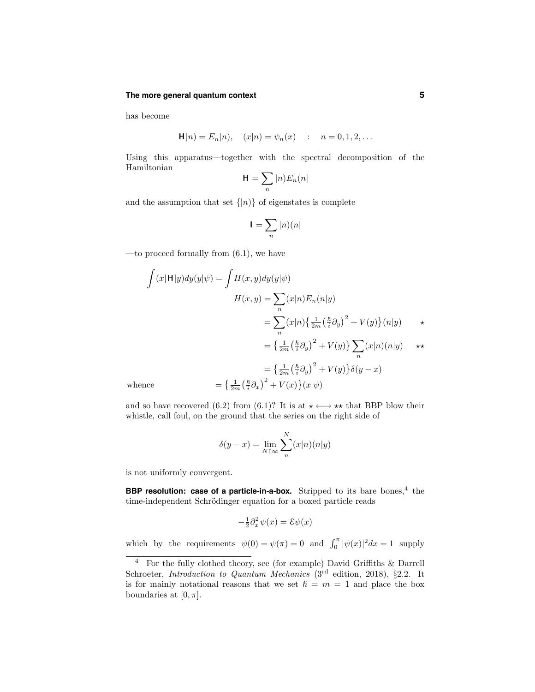#### **The more general quantum context 5**

has become

$$
\mathbf{H}|n) = E_n|n), \quad (x|n) = \psi_n(x) \quad : \quad n = 0, 1, 2, \dots
$$

Using this apparatus—together with the spectral decomposition of the Hamiltonian

$$
\mathbf{H}=\sum_n |n)E_n(n|
$$

and the assumption that set  $\{|n\rangle\}$  of eigenstates is complete

$$
\mathbf{I}=\sum_n |n)(n|
$$

—to proceed formally from  $(6.1)$ , we have

$$
\int (x|\mathbf{H}|y)dy(y|\psi) = \int H(x, y)dy(y|\psi)
$$

$$
H(x, y) = \sum_{n} (x|n)E_n(n|y)
$$

$$
= \sum_{n} (x|n) \left\{ \frac{1}{2m} \left( \frac{\hbar}{i} \partial_y \right)^2 + V(y) \right\} (n|y) \qquad \star
$$

$$
= \left\{ \frac{1}{2m} \left( \frac{\hbar}{i} \partial_y \right)^2 + V(y) \right\} \sum_{n} (x|n) (n|y) \qquad \star \star
$$

$$
= \left\{ \frac{1}{2m} \left( \frac{\hbar}{i} \partial_y \right)^2 + V(y) \right\} \delta(y - x)
$$
whence
$$
= \left\{ \frac{1}{2m} \left( \frac{\hbar}{i} \partial_x \right)^2 + V(x) \right\} (x|\psi)
$$

and so have recovered (6.2) from (6.1)? It is at  $\star \longleftrightarrow \star \star$  that BBP blow their whistle, call foul, on the ground that the series on the right side of

$$
\delta(y - x) = \lim_{N \uparrow \infty} \sum_{n}^{N} (x|n)(n|y)
$$

is not uniformly convergent.

**BBP resolution: case of a particle-in-a-box.** Stripped to its bare bones,<sup>4</sup> the time-independent Schrödinger equation for a boxed particle reads

$$
-\frac{1}{2}\partial_x^2\psi(x) = \mathcal{E}\psi(x)
$$

which by the requirements  $\psi(0) = \psi(\pi) = 0$  and  $\int_0^{\pi} |\psi(x)|^2 dx = 1$  supply

<sup>4</sup> For the fully clothed theory, see (for example) David Griffiths & Darrell Schroeter, Introduction to Quantum Mechanics ( $3<sup>rd</sup>$  edition, 2018), §2.2. It is for mainly notational reasons that we set  $\hbar = m = 1$  and place the box boundaries at  $[0, \pi]$ .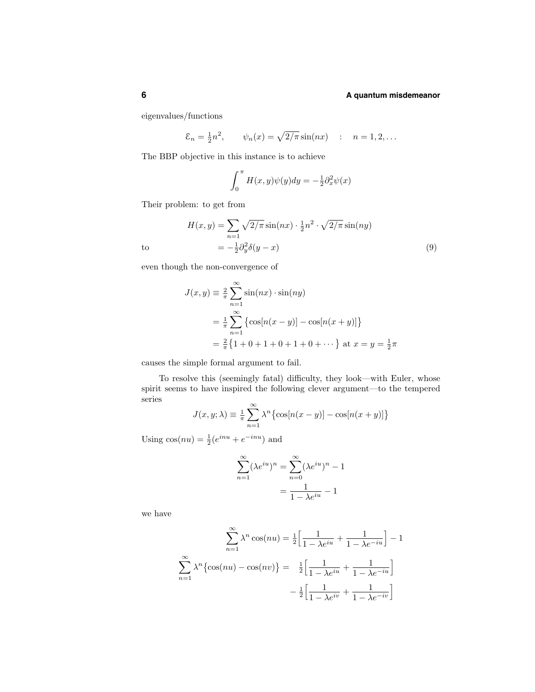eigenvalues/functions

$$
\mathcal{E}_n = \frac{1}{2}n^2
$$
,  $\psi_n(x) = \sqrt{2/\pi} \sin(nx)$  :  $n = 1, 2, ...$ 

The BBP objective in this instance is to achieve

$$
\int_0^{\pi} H(x, y)\psi(y)dy = -\frac{1}{2}\partial_x^2 \psi(x)
$$

Their problem: to get from

$$
H(x,y) = \sum_{n=1} \sqrt{2/\pi} \sin(nx) \cdot \frac{1}{2} n^2 \cdot \sqrt{2/\pi} \sin(ny)
$$
  
to 
$$
= -\frac{1}{2} \partial_y^2 \delta(y-x)
$$
 (9)

even though the non-convergence of

$$
J(x, y) = \frac{2}{\pi} \sum_{n=1}^{\infty} \sin(nx) \cdot \sin(ny)
$$
  
=  $\frac{1}{\pi} \sum_{n=1}^{\infty} {\cos[n(x - y)] - \cos[n(x + y)]}$   
=  $\frac{2}{\pi} {1 + 0 + 1 + 0 + 1 + 0 + \dots}$  at  $x = y = \frac{1}{2}\pi$ 

causes the simple formal argument to fail.

To resolve this (seemingly fatal) difficulty, they look—with Euler, whose spirit seems to have inspired the following clever argument—to the tempered series

$$
J(x, y; \lambda) \equiv \frac{1}{\pi} \sum_{n=1}^{\infty} \lambda^n \{ \cos[n(x-y)] - \cos[n(x+y)] \}
$$

Using  $cos(nu) = \frac{1}{2}(e^{inu} + e^{-inu})$  and

$$
\sum_{n=1}^{\infty} (\lambda e^{iu})^n = \sum_{n=0}^{\infty} (\lambda e^{iu})^n - 1
$$

$$
= \frac{1}{1 - \lambda e^{iu}} - 1
$$

we have

$$
\sum_{n=1}^{\infty} \lambda^n \cos(nu) = \frac{1}{2} \left[ \frac{1}{1 - \lambda e^{iu}} + \frac{1}{1 - \lambda e^{-iu}} \right] - 1
$$

$$
\sum_{n=1}^{\infty} \lambda^n \{ \cos(nu) - \cos(nv) \} = \frac{1}{2} \left[ \frac{1}{1 - \lambda e^{iu}} + \frac{1}{1 - \lambda e^{-iu}} \right]
$$

$$
- \frac{1}{2} \left[ \frac{1}{1 - \lambda e^{iv}} + \frac{1}{1 - \lambda e^{-iv}} \right]
$$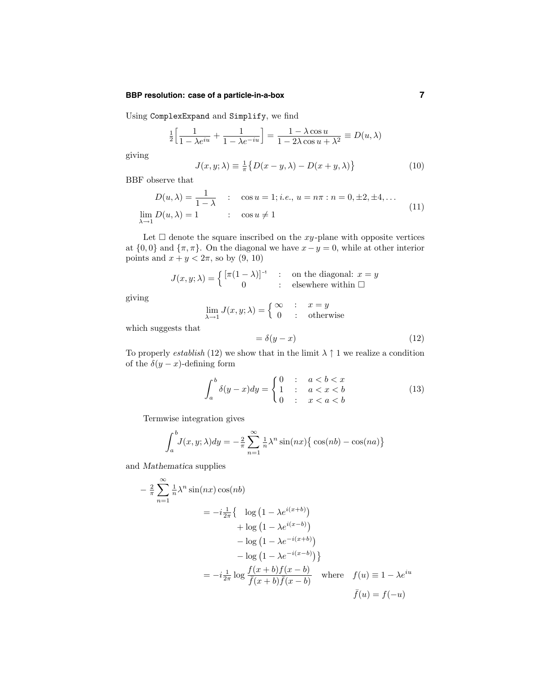# **BBP resolution: case of a particle-in-a-box 7**

Using ComplexExpand and Simplify, we find

$$
\frac{1}{2} \left[ \frac{1}{1 - \lambda e^{iu}} + \frac{1}{1 - \lambda e^{-iu}} \right] = \frac{1 - \lambda \cos u}{1 - 2\lambda \cos u + \lambda^2} \equiv D(u, \lambda)
$$

giving

$$
J(x, y; \lambda) \equiv \frac{1}{\pi} \{ D(x - y, \lambda) - D(x + y, \lambda) \}
$$
 (10)

BBF observe that

$$
D(u, \lambda) = \frac{1}{1 - \lambda} : \cos u = 1; i.e., u = n\pi : n = 0, \pm 2, \pm 4, ...
$$
  

$$
\lim_{\lambda \to 1} D(u, \lambda) = 1 : \cos u \neq 1
$$
 (11)

Let  $\Box$  denote the square inscribed on the xy-plane with opposite vertices at  $\{0, 0\}$  and  $\{\pi, \pi\}$ . On the diagonal we have  $x - y = 0$ , while at other interior points and  $x + y < 2\pi$ , so by  $(9, 10)$ 

$$
J(x, y; \lambda) = \begin{cases} \left[ \pi (1 - \lambda) \right]^{-1} & \text{: on the diagonal: } x = y \\ 0 & \text{: elsewhere within } \square \end{cases}
$$

giving

$$
\lim_{\lambda \to 1} J(x, y; \lambda) = \begin{cases} \infty & : x = y \\ 0 & : \text{otherwise} \end{cases}
$$

which suggests that

$$
= \delta(y - x) \tag{12}
$$

To properly *establish* (12) we show that in the limit  $\lambda \uparrow 1$  we realize a condition of the  $\delta(y-x)$ -defining form

$$
\int_{a}^{b} \delta(y - x) dy = \begin{cases} 0 & : & a < b < x \\ 1 & : & a < x < b \\ 0 & : & x < a < b \end{cases} \tag{13}
$$

Termwise integration gives

$$
\int_{a}^{b} J(x, y; \lambda) dy = -\frac{2}{\pi} \sum_{n=1}^{\infty} \frac{1}{n} \lambda^{n} \sin(nx) \{ \cos(nb) - \cos(na) \}
$$

and Mathematica supplies

$$
-\frac{2}{\pi} \sum_{n=1}^{\infty} \frac{1}{n} \lambda^n \sin(nx) \cos(nb)
$$
  
=  $-i \frac{1}{2\pi} \Big\{ \log \left(1 - \lambda e^{i(x+b)}\right)$   
 $+ \log \left(1 - \lambda e^{i(x-b)}\right)$   
 $- \log \left(1 - \lambda e^{-i(x+b)}\right)$   
 $- \log \left(1 - \lambda e^{-i(x-b)}\right)\Big\}$   
=  $-i \frac{1}{2\pi} \log \frac{f(x+b)f(x-b)}{\overline{f}(x+b)\overline{f}(x-b)}$  where  $f(u) \equiv 1 - \lambda e^{iu}$   
 $\overline{f}(u) = f(-u)$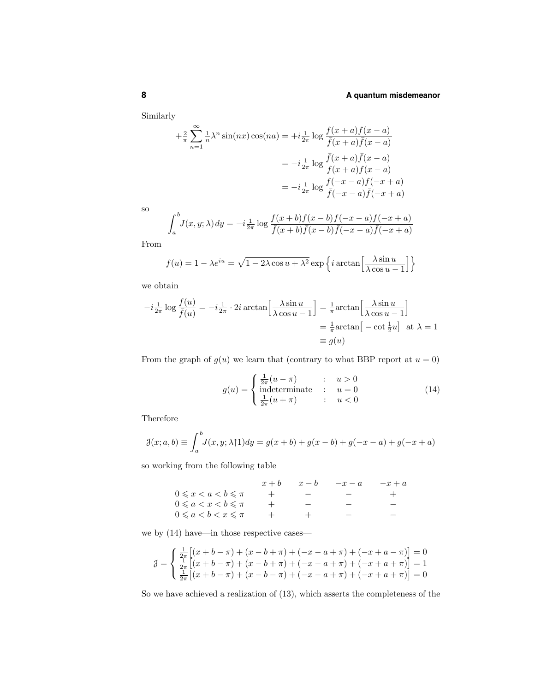Similarly

$$
+\frac{2}{\pi} \sum_{n=1}^{\infty} \frac{1}{n} \lambda^n \sin(nx) \cos(na) = +i \frac{1}{2\pi} \log \frac{f(x+a)f(x-a)}{\bar{f}(x+a)\bar{f}(x-a)}
$$

$$
= -i \frac{1}{2\pi} \log \frac{\bar{f}(x+a)\bar{f}(x-a)}{f(x+a)f(x-a)}
$$

$$
= -i \frac{1}{2\pi} \log \frac{f(-x-a)f(-x+a)}{\bar{f}(-x-a)\bar{f}(-x+a)}
$$

so

$$
\int_{a}^{b} J(x, y; \lambda) dy = -i \frac{1}{2\pi} \log \frac{f(x+b)f(x-b)f(-x-a)f(-x+a)}{\overline{f}(x+b)\overline{f}(x-b)} \overline{f}(-x-a)\overline{f}(-x+a)
$$

From

$$
f(u) = 1 - \lambda e^{iu} = \sqrt{1 - 2\lambda \cos u + \lambda^2} \exp\left\{i \arctan\left[\frac{\lambda \sin u}{\lambda \cos u - 1}\right]\right\}
$$

we obtain

$$
-i\frac{1}{2\pi}\log\frac{f(u)}{\bar{f}(u)} = -i\frac{1}{2\pi} \cdot 2i \arctan\left[\frac{\lambda \sin u}{\lambda \cos u - 1}\right] = \frac{1}{\pi}\arctan\left[\frac{\lambda \sin u}{\lambda \cos u - 1}\right]
$$

$$
= \frac{1}{\pi}\arctan\left[-\cot\frac{1}{2}u\right] \text{ at } \lambda = 1
$$

$$
\equiv g(u)
$$

From the graph of  $g(u)$  we learn that (contrary to what BBP report at  $u = 0$ )

$$
g(u) = \begin{cases} \frac{1}{2\pi}(u-\pi) & : u > 0\\ \text{indeterminate} & : u = 0\\ \frac{1}{2\pi}(u+\pi) & : u < 0 \end{cases} \tag{14}
$$

Therefore

$$
\mathcal{J}(x; a, b) \equiv \int_{a}^{b} J(x, y; \lambda \uparrow 1) dy = g(x + b) + g(x - b) + g(-x - a) + g(-x + a)
$$

so working from the following table

|                                       | $x + b$ | $x-b$ | $-x-a$ | $-x+a$ |
|---------------------------------------|---------|-------|--------|--------|
| $0 \leqslant x < a < b \leqslant \pi$ |         |       |        |        |
| $0 \leqslant a < x < b \leqslant \pi$ |         |       |        |        |
| $0 \leqslant a < b < x \leqslant \pi$ |         |       |        |        |
|                                       |         |       |        |        |

we by (14) have—in those respective cases—

$$
\mathcal{J} = \begin{cases} \frac{1}{2\pi} \left[ (x+b-\pi) + (x-b+\pi) + (-x-a+\pi) + (-x+a-\pi) \right] = 0 \\ \frac{1}{2\pi} \left[ (x+b-\pi) + (x-b+\pi) + (-x-a+\pi) + (-x+a+\pi) \right] = 1 \\ \frac{1}{2\pi} \left[ (x+b-\pi) + (x-b-\pi) + (-x-a+\pi) + (-x+a+\pi) \right] = 0 \end{cases}
$$

So we have achieved a realization of (13), which asserts the completeness of the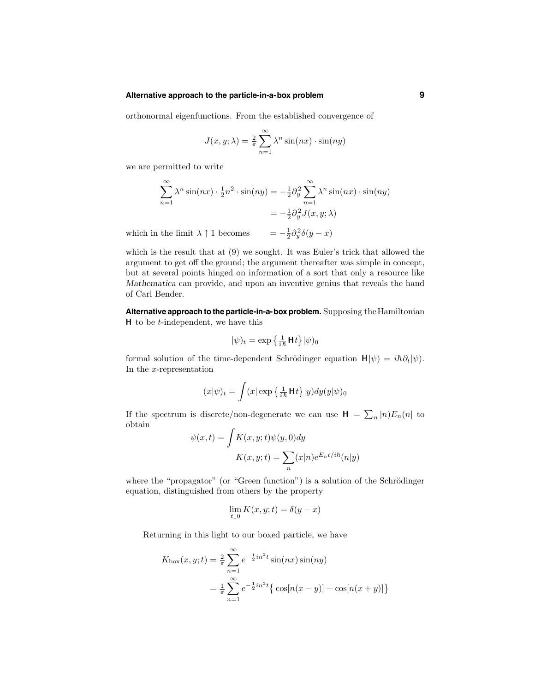#### **Alternative approach to the particle-in-a-box problem 9**

orthonormal eigenfunctions. From the established convergence of

$$
J(x, y; \lambda) = \frac{2}{\pi} \sum_{n=1}^{\infty} \lambda^n \sin(nx) \cdot \sin(ny)
$$

we are permitted to write

$$
\sum_{n=1}^{\infty} \lambda^n \sin(nx) \cdot \frac{1}{2} n^2 \cdot \sin(ny) = -\frac{1}{2} \partial_y^2 \sum_{n=1}^{\infty} \lambda^n \sin(nx) \cdot \sin(ny)
$$

$$
= -\frac{1}{2} \partial_y^2 J(x, y; \lambda)
$$

which in the limit  $\lambda \uparrow 1$  becomes  $\frac{1}{2}\partial_y^2 \delta(y-x)$ 

which is the result that at (9) we sought. It was Euler's trick that allowed the argument to get off the ground; the argument thereafter was simple in concept, but at several points hinged on information of a sort that only a resource like Mathematica can provide, and upon an inventive genius that reveals the hand of Carl Bender.

**Alternative approach to the particle-in-a-box problem.** Supposing theHamiltonian H to be t-independent, we have this

$$
|\psi)_t = \exp\left\{\frac{1}{i\hbar} \mathbf{H} t\right\} |\psi)_0
$$

formal solution of the time-dependent Schrödinger equation  $H|\psi\rangle = i\hbar \partial_t |\psi\rangle$ . In the x-representation

$$
(x|\psi)_t = \int (x|\exp\left\{\frac{1}{i\hbar}\mathbf{H}t\right\}|y)dy(y|\psi)_0
$$

If the spectrum is discrete/non-degenerate we can use  $\mathbf{H} = \sum_n |n| E_n(n)$  to obtain

$$
\psi(x,t) = \int K(x,y;t)\psi(y,0)dy
$$

$$
K(x,y;t) = \sum_{n} (x|n)e^{E_n t/i\hslash n}(n|y)
$$

where the "propagator" (or "Green function") is a solution of the Schrödinger equation, distinguished from others by the property

$$
\lim_{t \downarrow 0} K(x, y; t) = \delta(y - x)
$$

Returning in this light to our boxed particle, we have

$$
K_{\text{box}}(x, y; t) = \frac{2}{\pi} \sum_{n=1}^{\infty} e^{-\frac{1}{2}in^2 t} \sin(nx) \sin(ny)
$$
  
=  $\frac{1}{\pi} \sum_{n=1}^{\infty} e^{-\frac{1}{2}in^2 t} {\cos[n(x - y)] - \cos[n(x + y)] }$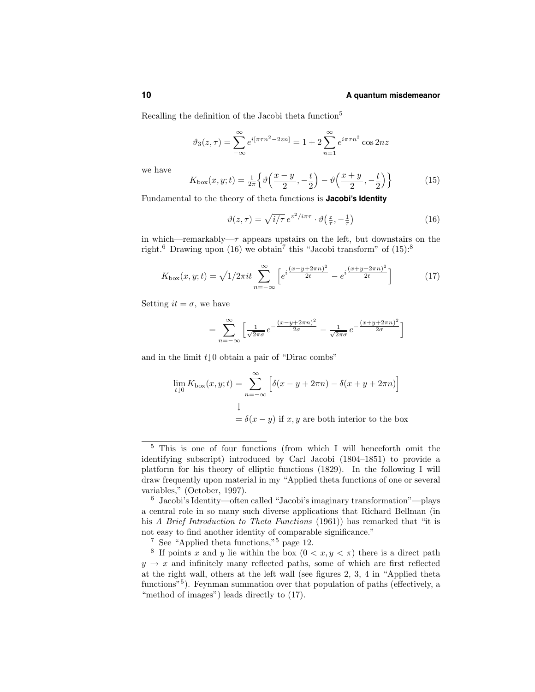Recalling the definition of the Jacobi theta function<sup>5</sup>

$$
\vartheta_3(z,\tau) = \sum_{-\infty}^{\infty} e^{i[\pi\tau n^2 - 2zn]} = 1 + 2 \sum_{n=1}^{\infty} e^{i\pi\tau n^2} \cos 2nz
$$

we have

$$
K_{\text{box}}(x,y;t) = \frac{1}{2\pi} \left\{ \vartheta \left( \frac{x-y}{2}, -\frac{t}{2} \right) - \vartheta \left( \frac{x+y}{2}, -\frac{t}{2} \right) \right\} \tag{15}
$$

Fundamental to the theory of theta functions is **Jacobi's Identity**

$$
\vartheta(z,\tau) = \sqrt{i/\tau} \, e^{z^2/i\pi\tau} \cdot \vartheta\left(\frac{z}{\tau}, -\frac{1}{\tau}\right) \tag{16}
$$

in which—remarkably— $\tau$  appears upstairs on the left, but downstairs on the right.<sup>6</sup> Drawing upon (16) we obtain<sup>7</sup> this "Jacobi transform" of  $(15)$ :<sup>8</sup>

$$
K_{\text{box}}(x,y;t) = \sqrt{1/2\pi i t} \sum_{n=-\infty}^{\infty} \left[ e^{i\frac{(x-y+2\pi n)^2}{2t}} - e^{i\frac{(x+y+2\pi n)^2}{2t}} \right]
$$
(17)

Setting  $it = \sigma$ , we have

$$
= \sum_{n=-\infty}^{\infty} \left[ \frac{1}{\sqrt{2\pi}\sigma} e^{-\frac{(x-y+2\pi n)^2}{2\sigma}} - \frac{1}{\sqrt{2\pi}\sigma} e^{-\frac{(x+y+2\pi n)^2}{2\sigma}} \right]
$$

and in the limit  $t \downarrow 0$  obtain a pair of "Dirac combs"

$$
\lim_{t \downarrow 0} K_{\text{box}}(x, y; t) = \sum_{n = -\infty}^{\infty} \left[ \delta(x - y + 2\pi n) - \delta(x + y + 2\pi n) \right]
$$
  

$$
\downarrow
$$
  

$$
= \delta(x - y) \text{ if } x, y \text{ are both interior to the box}
$$

<sup>5</sup> This is one of four functions (from which I will henceforth omit the identifying subscript) introduced by Carl Jacobi (1804–1851) to provide a platform for his theory of elliptic functions (1829). In the following I will draw frequently upon material in my "Applied theta functions of one or several variables," (October, 1997).

<sup>6</sup> Jacobi's Identity—often called "Jacobi's imaginary transformation"—plays a central role in so many such diverse applications that Richard Bellman (in his A Brief Introduction to Theta Functions (1961)) has remarked that "it is not easy to find another identity of comparable significance."

 $7 \text{ See } \text{``Applied theta functions,"}$ <sup>5</sup> page 12.

<sup>&</sup>lt;sup>8</sup> If points x and y lie within the box  $(0 < x, y < \pi)$  there is a direct path  $y \rightarrow x$  and infinitely many reflected paths, some of which are first reflected at the right wall, others at the left wall (see figures 2, 3, 4 in "Applied theta functions<sup>"5</sup>). Feynman summation over that population of paths (effectively, a "method of images") leads directly to  $(17)$ .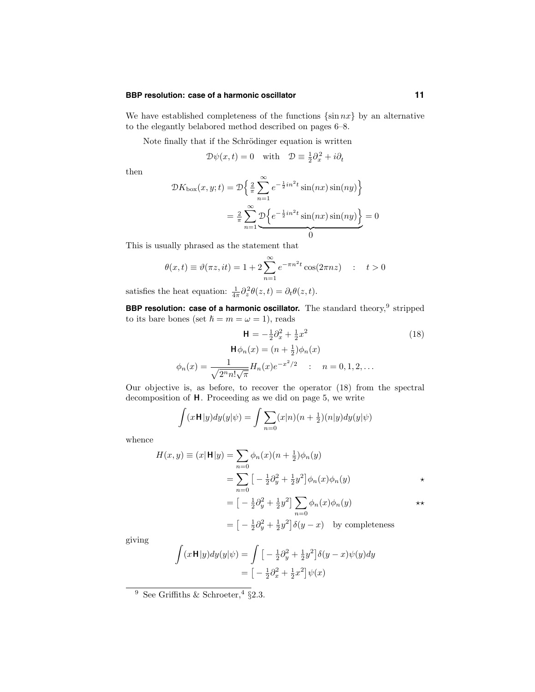#### **BBP resolution: case of a harmonic oscillator 11**

We have established completeness of the functions  $\{\sin nx\}$  by an alternative to the elegantly belabored method described on pages 6–8.

Note finally that if the Schrödinger equation is written

$$
\mathcal{D}\psi(x,t) = 0 \quad \text{with} \quad \mathcal{D} \equiv \frac{1}{2}\partial_x^2 + i\partial_t
$$

then

$$
\mathcal{D}K_{\text{box}}(x, y; t) = \mathcal{D}\left\{\frac{2}{\pi}\sum_{n=1}^{\infty}e^{-\frac{1}{2}in^2t}\sin(nx)\sin(ny)\right\}
$$

$$
= \frac{2}{\pi}\sum_{n=1}^{\infty}\underbrace{\mathcal{D}\left\{e^{-\frac{1}{2}in^2t}\sin(nx)\sin(ny)\right\}}_{0} = 0
$$

This is usually phrased as the statement that

$$
\theta(x,t) \equiv \vartheta(\pi z, it) = 1 + 2 \sum_{n=1}^{\infty} e^{-\pi n^2 t} \cos(2\pi n z) \quad : \quad t > 0
$$

satisfies the heat equation:  $\frac{1}{4\pi} \partial_z^2 \theta(z, t) = \partial_t \theta(z, t)$ .

**BBP resolution: case of a harmonic oscillator.** The standard theory, <sup>9</sup> stripped to its bare bones (set  $\hbar = m = \omega = 1$ ), reads

$$
\mathbf{H} = -\frac{1}{2}\partial_x^2 + \frac{1}{2}x^2
$$
(18)  

$$
\mathbf{H}\phi_n(x) = (n + \frac{1}{2})\phi_n(x)
$$
  

$$
\phi_n(x) = \frac{1}{\sqrt{2^n n! \sqrt{\pi}}} H_n(x)e^{-x^2/2} \quad : \quad n = 0, 1, 2, ...
$$

Our objective is, as before, to recover the operator (18) from the spectral decomposition of H. Proceeding as we did on page 5, we write

$$
\int (x \mathbf{H}|y) dy(y|\psi) = \int \sum_{n=0} (x|n)(n+\frac{1}{2})(n|y) dy(y|\psi)
$$

whence

$$
H(x,y) \equiv (x|\mathbf{H}|y) = \sum_{n=0}^{\infty} \phi_n(x)(n+\frac{1}{2})\phi_n(y)
$$
  
\n
$$
= \sum_{n=0}^{\infty} \left[ -\frac{1}{2}\partial_y^2 + \frac{1}{2}y^2 \right] \phi_n(x)\phi_n(y)
$$
  
\n
$$
= \left[ -\frac{1}{2}\partial_y^2 + \frac{1}{2}y^2 \right] \sum_{n=0}^{\infty} \phi_n(x)\phi_n(y)
$$
  
\n
$$
= \left[ -\frac{1}{2}\partial_y^2 + \frac{1}{2}y^2 \right] \delta(y-x) \text{ by completeness}
$$

giving

$$
\int (x \mathbf{H}|y) dy(y|\psi) = \int \left[ -\frac{1}{2} \partial_y^2 + \frac{1}{2} y^2 \right] \delta(y - x) \psi(y) dy
$$

$$
= \left[ -\frac{1}{2} \partial_x^2 + \frac{1}{2} x^2 \right] \psi(x)
$$

<sup>9</sup> See Griffiths & Schroeter, <sup>4</sup> §2.3.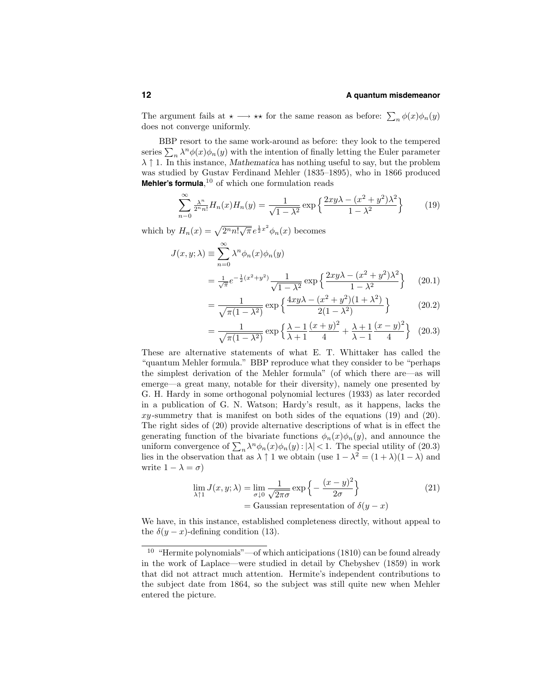The argument fails at  $\star \longrightarrow \star \star$  for the same reason as before:  $\sum_n \phi(x) \phi_n(y)$ does not converge uniformly.

BBP resort to the same work-around as before: they look to the tempered series  $\sum_{n} \lambda^{n} \phi(x) \phi_{n}(y)$  with the intention of finally letting the Euler parameter  $\lambda \uparrow 1$ . In this instance, Mathematica has nothing useful to say, but the problem was studied by Gustav Ferdinand Mehler (1835–1895), who in 1866 produced **Mehler's formula**, <sup>10</sup> of which one formulation reads

$$
\sum_{n=0}^{\infty} \frac{\lambda^n}{2^n n!} H_n(x) H_n(y) = \frac{1}{\sqrt{1 - \lambda^2}} \exp\left\{ \frac{2xy\lambda - (x^2 + y^2)\lambda^2}{1 - \lambda^2} \right\} \tag{19}
$$

which by  $H_n(x) = \sqrt{2^n n! \sqrt{\pi}} e^{\frac{1}{2}x^2} \phi_n(x)$  becomes

$$
J(x, y; \lambda) \equiv \sum_{n=0}^{\infty} \lambda^n \phi_n(x) \phi_n(y)
$$
  
= 
$$
\frac{1}{\sqrt{\pi}} e^{-\frac{1}{2}(x^2 + y^2)} \frac{1}{\sqrt{1 - \lambda^2}} \exp\left\{\frac{2xy\lambda - (x^2 + y^2)\lambda^2}{1 - \lambda^2}\right\}
$$
 (20.1)

$$
= \frac{1}{\sqrt{\pi(1-\lambda^2)}} \exp\left\{\frac{4xy\lambda - (x^2+y^2)(1+\lambda^2)}{2(1-\lambda^2)}\right\}
$$
 (20.2)

$$
= \frac{1}{\sqrt{\pi(1-\lambda^2)}} \exp\left\{\frac{\lambda-1}{\lambda+1}\frac{(x+y)^2}{4} + \frac{\lambda+1}{\lambda-1}\frac{(x-y)^2}{4}\right\}
$$
 (20.3)

These are alternative statements of what E. T. Whittaker has called the "quantum Mehler formula." BBP reproduce what they consider to be "perhaps the simplest derivation of the Mehler formula" (of which there are—as will emerge—a great many, notable for their diversity), namely one presented by G. H. Hardy in some orthogonal polynomial lectures (1933) as later recorded in a publication of G. N. Watson; Hardy's result, as it happens, lacks the  $xy$ -summetry that is manifest on both sides of the equations (19) and (20). The right sides of (20) provide alternative descriptions of what is in effect the generating function of the bivariate functions  $\phi_n(x)\phi_n(y)$ , and announce the uniform convergence of  $\sum_{n} \lambda^{n} \phi_n(x) \phi_n(y)$ :  $|\lambda|$  < 1. The special utility of (20.3) lies in the observation that as  $\lambda \uparrow 1$  we obtain (use  $1 - \lambda^2 = (1 + \lambda)(1 - \lambda)$  and write  $1 - \lambda = \sigma$ )

$$
\lim_{\lambda \uparrow 1} J(x, y; \lambda) = \lim_{\sigma \downarrow 0} \frac{1}{\sqrt{2\pi\sigma}} \exp \left\{-\frac{(x - y)^2}{2\sigma}\right\}
$$
\n
$$
= \text{Gaussian representation of } \delta(y - x)
$$
\n(21)

We have, in this instance, established completeness directly, without appeal to the  $\delta(y-x)$ -defining condition (13).

<sup>10</sup> "Hermite polynomials"—of which anticipations (1810) can be found already in the work of Laplace—were studied in detail by Chebyshev (1859) in work that did not attract much attention. Hermite's independent contributions to the subject date from 1864, so the subject was still quite new when Mehler entered the picture.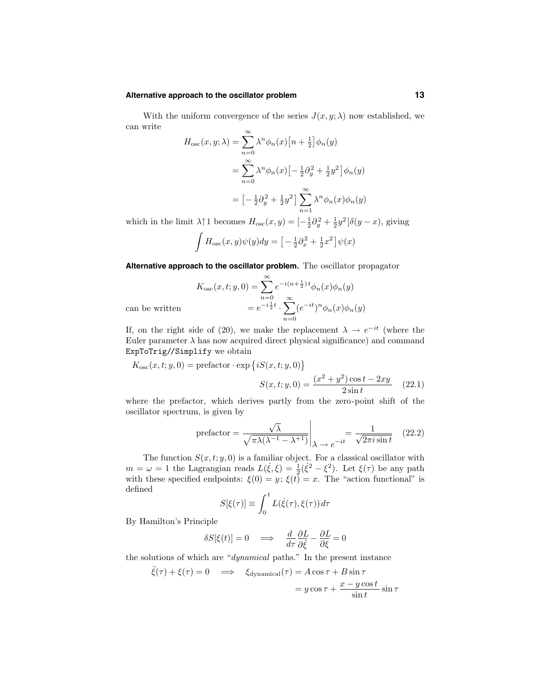#### **Alternative approach to the oscillator problem 13**

With the uniform convergence of the series  $J(x, y; \lambda)$  now established, we can write

$$
H_{\text{osc}}(x, y; \lambda) = \sum_{n=0}^{\infty} \lambda^n \phi_n(x) \left[ n + \frac{1}{2} \right] \phi_n(y)
$$
  

$$
= \sum_{n=0}^{\infty} \lambda^n \phi_n(x) \left[ -\frac{1}{2} \partial_y^2 + \frac{1}{2} y^2 \right] \phi_n(y)
$$
  

$$
= \left[ -\frac{1}{2} \partial_y^2 + \frac{1}{2} y^2 \right] \sum_{n=1}^{\infty} \lambda^n \phi_n(x) \phi_n(y)
$$

which in the limit  $\lambda \uparrow 1$  becomes  $H_{\text{osc}}(x, y) = \left[-\frac{1}{2}\partial_y^2 + \frac{1}{2}y^2\right]\delta(y - x)$ , giving

$$
\int H_{\rm osc}(x,y)\psi(y)dy = \left[-\frac{1}{2}\partial_x^2 + \frac{1}{2}x^2\right]\psi(x)
$$

**Alternative approach to the oscillator problem.** The oscillator propagator

$$
K_{\text{osc}}(x,t;y,0) = \sum_{n=0}^{\infty} e^{-i(n+\frac{1}{2})t} \phi_n(x)\phi_n(y)
$$
  
= 
$$
e^{-i\frac{1}{2}t} \cdot \sum_{n=0}^{\infty} (e^{-it})^n \phi_n(x)\phi_n(y)
$$

can be written

If, on the right side of (20), we make the replacement  $\lambda \to e^{-it}$  (where the Euler parameter  $\lambda$  has now acquired direct physical significance) and command ExpToTrig//Simplify we obtain

$$
K_{\rm osc}(x, t; y, 0) = \text{prefactor} \cdot \exp\left\{ iS(x, t; y, 0) \right\}
$$

$$
S(x, t; y, 0) = \frac{(x^2 + y^2)\cos t - 2xy}{2\sin t}
$$
(22.1)

where the prefactor, which derives partly from the zero-point shift of the oscillator spectrum, is given by

$$
\text{prefactor} = \frac{\sqrt{\lambda}}{\sqrt{\pi\lambda(\lambda^{-1} - \lambda^{+1})}} \bigg|_{\lambda \to e^{-it}} = \frac{1}{\sqrt{2\pi i \sin t}} \quad (22.2)
$$

The function  $S(x, t; y, 0)$  is a familiar object. For a classical oscillator with  $m = \omega = 1$  the Lagrangian reads  $L(\xi, \xi) = \frac{1}{2}(\xi^2 - \xi^2)$ . Let  $\xi(\tau)$  be any path with these specified endpoints:  $\xi(0) = y$ ;  $\xi(t) = x$ . The "action functional" is defined

$$
S[\xi(\tau)] \equiv \int_0^t L(\dot{\xi}(\tau), \xi(\tau)) d\tau
$$

By Hamilton's Principle

$$
\delta S[\xi(t)] = 0 \quad \Longrightarrow \quad \frac{d}{d\tau} \frac{\partial L}{\partial \dot{\xi}} - \frac{\partial L}{\partial \xi} = 0
$$

the solutions of which are "dynamical paths." In the present instance

$$
\ddot{\xi}(\tau) + \xi(\tau) = 0 \implies \xi_{\text{dynamical}}(\tau) = A \cos \tau + B \sin \tau
$$

$$
= y \cos \tau + \frac{x - y \cos t}{\sin t} \sin \tau
$$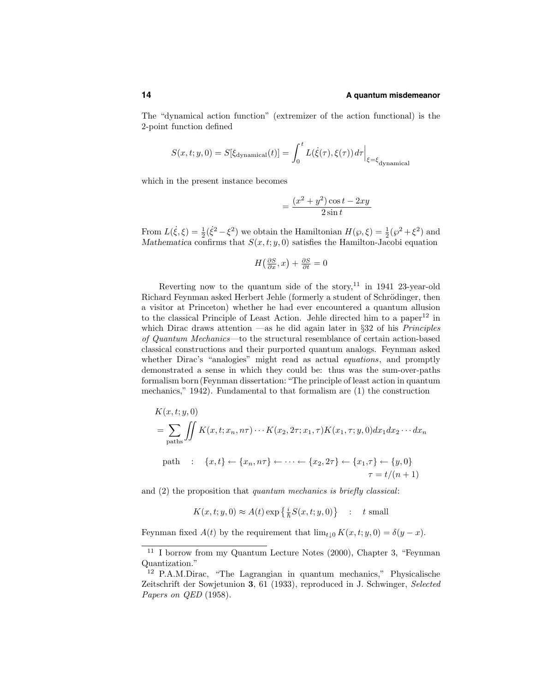The "dynamical action function" (extremizer of the action functional) is the 2-point function defined

$$
S(x, t; y, 0) = S[\xi_{\text{dynamical}}(t)] = \int_0^t L(\dot{\xi}(\tau), \xi(\tau)) d\tau \Big|_{\xi = \xi_{\text{dynamical}}}
$$

which in the present instance becomes

$$
=\frac{(x^2+y^2)\cos t-2xy}{2\sin t}
$$

From  $L(\xi, \xi) = \frac{1}{2}(\xi^2 - \xi^2)$  we obtain the Hamiltonian  $H(\wp, \xi) = \frac{1}{2}(\wp^2 + \xi^2)$  and Mathematica confirms that  $S(x,t; y,0)$  satisfies the Hamilton-Jacobi equation

$$
H\left(\frac{\partial S}{\partial x}, x\right) + \frac{\partial S}{\partial t} = 0
$$

Reverting now to the quantum side of the story, $11$  in 1941 23-year-old Richard Feynman asked Herbert Jehle (formerly a student of Schrödinger, then a visitor at Princeton) whether he had ever encountered a quantum allusion to the classical Principle of Least Action. Jehle directed him to a paper<sup>12</sup> in which Dirac draws attention —as he did again later in  $\S 32$  of his *Principles* of Quantum Mechanics—to the structural resemblance of certain action-based classical constructions and their purported quantum analogs. Feynman asked whether Dirac's "analogies" might read as actual *equations*, and promptly demonstrated a sense in which they could be: thus was the sum-over-paths formalism born(Feynman dissertation: "The principle of least action in quantum mechanics," 1942). Fundamental to that formalism are (1) the construction

$$
K(x, t; y, 0)
$$
  
=  $\sum_{\text{paths}} \iint K(x, t; x_n, n\tau) \cdots K(x_2, 2\tau; x_1, \tau) K(x_1, \tau; y, 0) dx_1 dx_2 \cdots dx_n$   
path :  $\{x, t\} \leftarrow \{x_n, n\tau\} \leftarrow \cdots \leftarrow \{x_2, 2\tau\} \leftarrow \{x_1, \tau\} \leftarrow \{y, 0\}$   
 $\tau = t/(n + 1)$ 

and (2) the proposition that quantum mechanics is briefly classical:

$$
K(x, t; y, 0) \approx A(t) \exp\left\{\frac{i}{\hbar} S(x, t; y, 0)\right\} \quad : \quad t \text{ small}
$$

Feynman fixed  $A(t)$  by the requirement that  $\lim_{t\downarrow 0} K(x,t;y,0) = \delta(y-x)$ .

<sup>11</sup> I borrow from my Quantum Lecture Notes (2000), Chapter 3, "Feynman Quantization."

<sup>12</sup> P.A.M.Dirac, "The Lagrangian in quantum mechanics," Physicalische Zeitschrift der Sowjetunion 3, 61 (1933), reproduced in J. Schwinger, Selected Papers on QED (1958).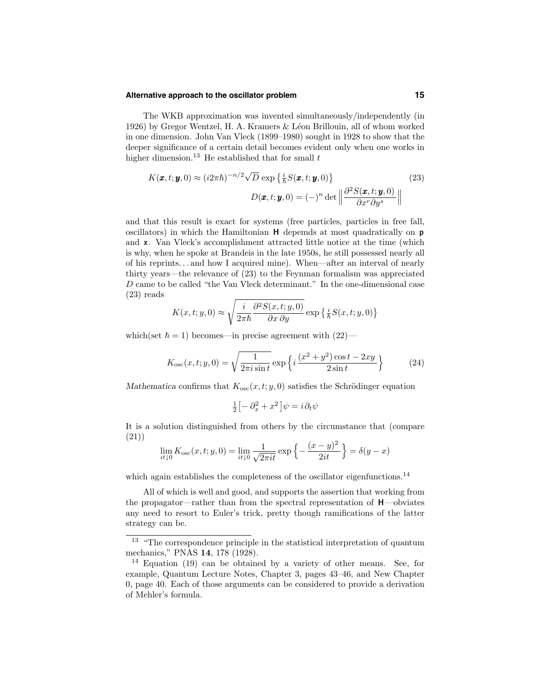#### **Alternative approach to the oscillator problem 15**

The WKB approximation was invented simultaneously/independently (in 1926) by Gregor Wentzel, H. A. Kramers & L´eon Brillouin, all of whom worked in one dimension. John Van Vleck (1899–1980) sought in 1928 to show that the deeper significance of a certain detail becomes evident only when one works in higher dimension.<sup>13</sup> He established that for small  $t$ 

$$
K(\boldsymbol{x}, t; \boldsymbol{y}, 0) \approx (i2\pi\hbar)^{-n/2} \sqrt{D} \exp\left\{\frac{i}{\hbar} S(\boldsymbol{x}, t; \boldsymbol{y}, 0)\right\}
$$
(23)  

$$
D(\boldsymbol{x}, t; \boldsymbol{y}, 0) = (-)^n \det \left\| \frac{\partial^2 S(\boldsymbol{x}, t; \boldsymbol{y}, 0)}{\partial x^n \partial y^s} \right\|
$$

and that this result is exact for systems (free particles, particles in free fall, oscillators) in which the Hamiltonian H depemds at most quadratically on p and x. Van Vleck's accomplishment attracted little notice at the time (which is why, when he spoke at Brandeis in the late 1950s, he still possessed nearly all of his reprints. . . and how I acquired mine). When—after an interval of nearly thirty years—the relevance of (23) to the Feynman formalism was appreciated D came to be called "the Van Vleck determinant." In the one-dimensional case (23) reads

$$
K(x, t; y, 0) \approx \sqrt{\frac{i}{2\pi\hbar} \frac{\partial^2 S(x, t; y, 0)}{\partial x \partial y}} \exp\left\{\frac{i}{\hbar} S(x, t; y, 0)\right\}
$$

which(set  $\hbar = 1$ ) becomes—in precise agreement with (22)—

$$
K_{\rm osc}(x, t; y, 0) = \sqrt{\frac{1}{2\pi i \sin t}} \exp\left\{i\frac{(x^2 + y^2)\cos t - 2xy}{2\sin t}\right\}
$$
(24)

Mathematica confirms that  $K_{osc}(x, t; y, 0)$  satisfies the Schrödinger equation

$$
\tfrac{1}{2}\big[-\partial_x^2+x^2\big]\psi=i\,\partial_t\psi
$$

It is a solution distinguished from others by the circumstance that (compare (21))

$$
\lim_{it \downarrow 0} K_{\text{osc}}(x, t; y, 0) = \lim_{it \downarrow 0} \frac{1}{\sqrt{2\pi i t}} \exp\left\{-\frac{(x - y)^2}{2it}\right\} = \delta(y - x)
$$

which again establishes the completeness of the oscillator eigenfunctions.<sup>14</sup>

All of which is well and good, and supports the assertion that working from the propagator—rather than from the spectral representation of  $H$ —obviates any need to resort to Euler's trick, pretty though ramifications of the latter strategy can be.

<sup>&</sup>lt;sup>13</sup> "The correspondence principle in the statistical interpretation of quantum mechanics," PNAS 14, 178 (1928).

<sup>14</sup> Equation (19) can be obtained by a variety of other means. See, for example, Quantum Lecture Notes, Chapter 3, pages 43–46, and New Chapter 0, page 40. Each of those arguments can be considered to provide a derivation of Mehler's formula.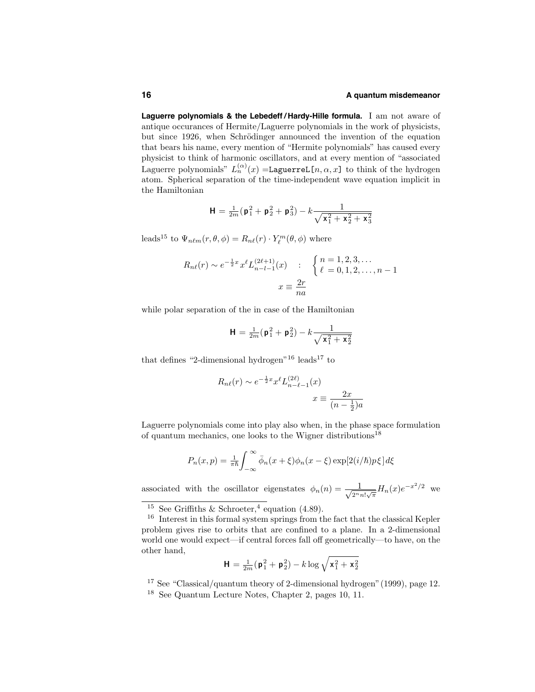**Laguerre polynomials & the Lebedeff / Hardy-Hille formula.** I am not aware of antique occurances of Hermite/Laguerre polynomials in the work of physicists, but since 1926, when Schrödinger announced the invention of the equation that bears his name, every mention of "Hermite polynomials" has caused every physicist to think of harmonic oscillators, and at every mention of "associated Laguerre polynomials"  $L_n^{(\alpha)}(x) =$ LaguerreL[n,  $\alpha, x$ ] to think of the hydrogen atom. Spherical separation of the time-independent wave equation implicit in the Hamiltonian

$$
\mathbf{H} = \frac{1}{2m}(\mathbf{p}_1^2 + \mathbf{p}_2^2 + \mathbf{p}_3^2) - k \frac{1}{\sqrt{\mathbf{x}_1^2 + \mathbf{x}_2^2 + \mathbf{x}_3^2}}
$$

leads<sup>15</sup> to  $\Psi_{n\ell m}(r, \theta, \phi) = R_{n\ell}(r) \cdot Y_{\ell}^{m}(\theta, \phi)$  where

$$
R_{n\ell}(r) \sim e^{-\frac{1}{2}x} x^{\ell} L_{n-l-1}^{(2\ell+1)}(x) \qquad : \qquad \begin{cases} n = 1, 2, 3, \dots \\ \ell = 0, 1, 2, \dots, n-1 \end{cases}
$$

$$
x \equiv \frac{2r}{na}
$$

while polar separation of the in case of the Hamiltonian

$$
\mathbf{H} = \frac{1}{2m}(\mathbf{p}_1^2 + \mathbf{p}_2^2) - k \frac{1}{\sqrt{\mathbf{x}_1^2 + \mathbf{x}_2^2}}
$$

that defines "2-dimensional hydrogen"<sup>16</sup> leads<sup>17</sup> to

$$
R_{n\ell}(r) \sim e^{-\frac{1}{2}x} x^{\ell} L_{n-\ell-1}^{(2\ell)}(x)
$$

$$
x \equiv \frac{2x}{(n-\frac{1}{2})a}
$$

Laguerre polynomials come into play also when, in the phase space formulation of quantum mechanics, one looks to the Wigner distributions<sup>18</sup>

$$
P_n(x,p) = \frac{1}{\pi \hbar} \int_{-\infty}^{\infty} \bar{\phi}_n(x+\xi) \phi_n(x-\xi) \exp[2(i/\hbar)p\xi] d\xi
$$

associated with the oscillator eigenstates  $\phi_n(n) = \frac{1}{\sqrt{2n}}$  $\frac{1}{2^n n! \sqrt{\pi}} H_n(x) e^{-x^2/2}$  we

$$
\mathbf{H} = \tfrac{1}{2m}(\mathbf{p}_1^2 + \mathbf{p}_2^2) - k\log\sqrt{\mathbf{x}_1^2 + \mathbf{x}_2^2}
$$

<sup>17</sup> See "Classical/quantum theory of 2-dimensional hydrogen"(1999), page 12.

<sup>&</sup>lt;sup>15</sup> See Griffiths & Schroeter,<sup>4</sup> equation (4.89).

<sup>16</sup> Interest in this formal system springs from the fact that the classical Kepler problem gives rise to orbits that are confined to a plane. In a 2-dimensional world one would expect—if central forces fall off geometrically—to have, on the other hand,

<sup>18</sup> See Quantum Lecture Notes, Chapter 2, pages 10, 11.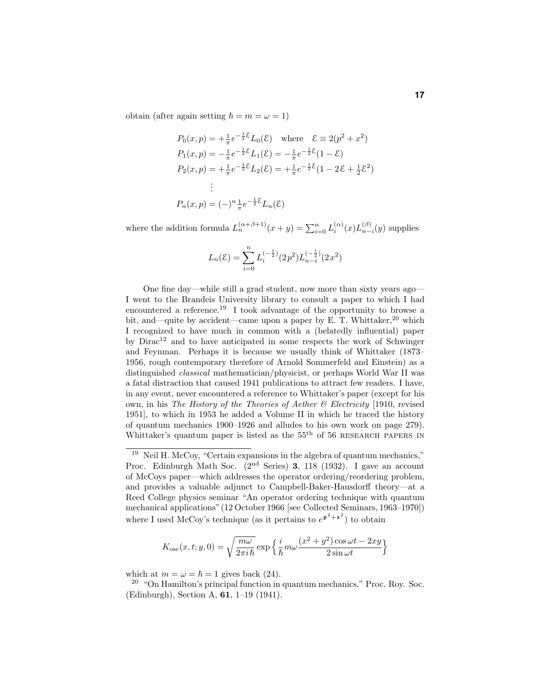obtain (after again setting  $\hbar = m = \omega = 1$ )

$$
P_0(x, p) = +\frac{1}{\pi}e^{-\frac{1}{2}\mathcal{E}}L_0(\mathcal{E}) \text{ where } \mathcal{E} \equiv 2(p^2 + x^2)
$$
  
\n
$$
P_1(x, p) = -\frac{1}{\pi}e^{-\frac{1}{2}\mathcal{E}}L_1(\mathcal{E}) = -\frac{1}{\pi}e^{-\frac{1}{2}\mathcal{E}}(1-\mathcal{E})
$$
  
\n
$$
P_2(x, p) = +\frac{1}{\pi}e^{-\frac{1}{2}\mathcal{E}}L_2(\mathcal{E}) = +\frac{1}{\pi}e^{-\frac{1}{2}\mathcal{E}}(1-2\mathcal{E}+\frac{1}{2}\mathcal{E}^2)
$$
  
\n:  
\n:  
\n
$$
P_n(x, p) = (-)^n \frac{1}{\pi}e^{-\frac{1}{2}\mathcal{E}}L_n(\mathcal{E})
$$

where the addition formula  $L_n^{(\alpha+\beta+1)}(x+y) = \sum_{i=0}^n L_i^{(\alpha)}(x) L_{n-i}^{(\beta)}(y)$  supplies

$$
L_n(\mathcal{E}) = \sum_{i=0}^n L_i^{(-\frac{1}{2})} (2p^2) L_{n-i}^{(-\frac{1}{2})} (2x^2)
$$

One fine day—while still a grad student, now more than sixty years ago— I went to the Brandeis University library to consult a paper to which I had encountered a reference.<sup>19</sup> I took advantage of the opportunity to browse a bit, and—quite by accident—came upon a paper by E. T. Whittaker, $^{20}$  which I recognized to have much in common with a (belatedly influential) paper by  $Dirac^{12}$  and to have anticipated in some respects the work of Schwinger and Feynman. Perhaps it is because we usually think of Whittaker (1873– 1956, rough contemporary therefore of Arnold Sommerfeld and Einstein) as a distinguished classical mathematician/physicist, or perhaps World War II was a fatal distraction that caused 1941 publications to attract few readers. I have, in any event, never encountered a reference to Whittaker's paper (except for his own, in his The History of the Theories of Aether  $\mathcal B$  Electricity [1910, revised 1951], to which in 1953 he added a Volume II in which he traced the history of quantum mechanics 1900–1926 and alludes to his own work on page 279). Whittaker's quantum paper is listed as the  $55<sup>th</sup>$  of 56 RESEARCH PAPERS IN

$$
K_{\rm osc}(x,t;y,0) = \sqrt{\frac{m\omega}{2\pi i\hbar}} \exp\left\{\frac{i}{\hbar}m\omega\frac{(x^2+y^2)\cos\omega t - 2xy}{2\sin\omega t}\right\}
$$

which at  $m = \omega = \hbar = 1$  gives back (24).

 $20$  "On Hamilton's principal function in quantum mechanics," Proc. Roy. Soc. (Edinburgh), Section A, 61, 1–19 (1941).

<sup>19</sup> Neil H. McCoy, "Certain expansions in the algebra of quantum mechanics," Proc. Edinburgh Math Soc. (2<sup>nd</sup> Series) 3, 118 (1932). I gave an account of McCoys paper—which addresses the operator ordering/reordering problem, and provides a valuable adjunct to Campbell-Baker-Hausdorff theory—at a Reed College physics seminar "An operator ordering technique with quantum mechanical applications"(12 October 1966 [see Collected Seminars, 1963–1970]) where I used McCoy's technique (as it pertains to  $e^{p^2+x^2}$ ) to obtain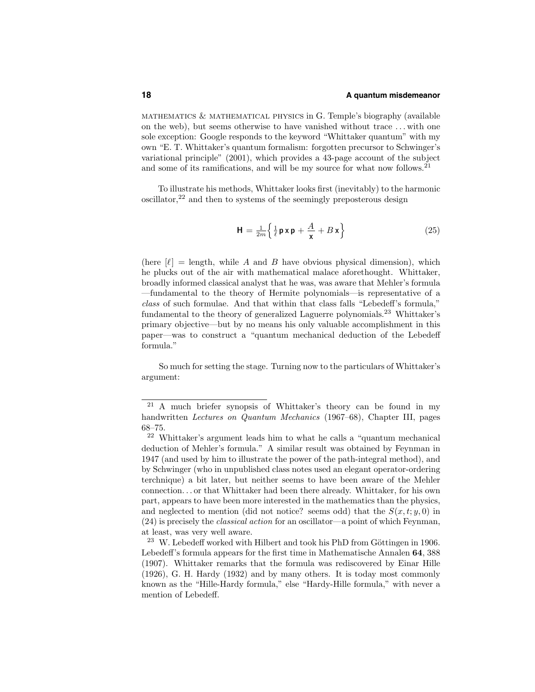mathematics & mathematical physics in G. Temple's biography (available on the web), but seems otherwise to have vanished without trace . . . with one sole exception: Google responds to the keyword "Whittaker quantum" with my own "E. T. Whittaker's quantum formalism: forgotten precursor to Schwinger's variational principle" (2001), which provides a 43-page account of the subject and some of its ramifications, and will be my source for what now follows.<sup>21</sup>

To illustrate his methods, Whittaker looks first (inevitably) to the harmonic  $\alpha$  oscillator,<sup>22</sup> and then to systems of the seemingly preposterous design

$$
\mathbf{H} = \frac{1}{2m} \left\{ \frac{1}{\ell} \mathbf{p} \mathbf{x} \mathbf{p} + \frac{A}{\mathbf{x}} + B \mathbf{x} \right\}
$$
 (25)

(here  $[\ell] =$  length, while A and B have obvious physical dimension), which he plucks out of the air with mathematical malace aforethought. Whittaker, broadly informed classical analyst that he was, was aware that Mehler's formula —fundamental to the theory of Hermite polynomials—is representative of a class of such formulae. And that within that class falls "Lebedeff's formula," fundamental to the theory of generalized Laguerre polynomials.<sup>23</sup> Whittaker's primary objective—but by no means his only valuable accomplishment in this paper—was to construct a "quantum mechanical deduction of the Lebedeff formula."

So much for setting the stage. Turning now to the particulars of Whittaker's argument:

<sup>21</sup> A much briefer synopsis of Whittaker's theory can be found in my handwritten Lectures on Quantum Mechanics (1967–68), Chapter III, pages 68–75.

<sup>22</sup> Whittaker's argument leads him to what he calls a "quantum mechanical deduction of Mehler's formula." A similar result was obtained by Feynman in 1947 (and used by him to illustrate the power of the path-integral method), and by Schwinger (who in unpublished class notes used an elegant operator-ordering terchnique) a bit later, but neither seems to have been aware of the Mehler connection. . . or that Whittaker had been there already. Whittaker, for his own part, appears to have been more interested in the mathematics than the physics, and neglected to mention (did not notice? seems odd) that the  $S(x,t; y, 0)$  in  $(24)$  is precisely the *classical action* for an oscillator—a point of which Feynman, at least, was very well aware.

 $23$  W. Lebedeff worked with Hilbert and took his PhD from Göttingen in 1906. Lebedeff's formula appears for the first time in Mathematische Annalen 64, 388 (1907). Whittaker remarks that the formula was rediscovered by Einar Hille (1926), G. H. Hardy (1932) and by many others. It is today most commonly known as the "Hille-Hardy formula," else "Hardy-Hille formula," with never a mention of Lebedeff.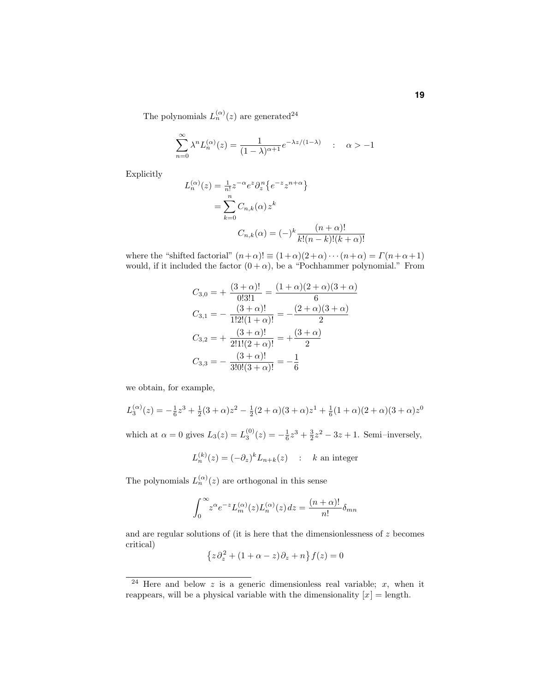The polynomials  $L_n^{(\alpha)}(z)$  are generated<sup>24</sup>

$$
\sum_{n=0}^{\infty} \lambda^n L_n^{(\alpha)}(z) = \frac{1}{(1-\lambda)^{\alpha+1}} e^{-\lambda z/(1-\lambda)} \quad : \quad \alpha > -1
$$

Explicitly

$$
L_n^{(\alpha)}(z) = \frac{1}{n!} z^{-\alpha} e^z \partial_z^n \{ e^{-z} z^{n+\alpha} \}
$$
  
= 
$$
\sum_{k=0}^n C_{n,k}(\alpha) z^k
$$
  

$$
C_{n,k}(\alpha) = (-)^k \frac{(n+\alpha)!}{k!(n-k)!(k+\alpha)!}
$$

where the "shifted factorial"  $(n+\alpha)! \equiv (1+\alpha)(2+\alpha)\cdots(n+\alpha) = \Gamma(n+\alpha+1)$ would, if it included the factor  $(0 + \alpha)$ , be a "Pochhammer polynomial." From

$$
C_{3,0} = +\frac{(3+\alpha)!}{0!3!1} = \frac{(1+\alpha)(2+\alpha)(3+\alpha)}{6}
$$
  
\n
$$
C_{3,1} = -\frac{(3+\alpha)!}{1!2!(1+\alpha)!} = -\frac{(2+\alpha)(3+\alpha)}{2}
$$
  
\n
$$
C_{3,2} = +\frac{(3+\alpha)!}{2!1!(2+\alpha)!} = +\frac{(3+\alpha)}{2}
$$
  
\n
$$
C_{3,3} = -\frac{(3+\alpha)!}{3!0!(3+\alpha)!} = -\frac{1}{6}
$$

we obtain, for example,

$$
L_3^{(\alpha)}(z) = -\frac{1}{6}z^3 + \frac{1}{2}(3+\alpha)z^2 - \frac{1}{2}(2+\alpha)(3+\alpha)z^1 + \frac{1}{6}(1+\alpha)(2+\alpha)(3+\alpha)z^0
$$

which at  $\alpha = 0$  gives  $L_3(z) = L_3^{(0)}(z) = -\frac{1}{6}z^3 + \frac{3}{2}z^2 - 3z + 1$ . Semi-inversely,

$$
L_n^{(k)}(z) = (-\partial_z)^k L_{n+k}(z) \quad : \quad k \text{ an integer}
$$

The polynomials  $L_n^{(\alpha)}(z)$  are orthogonal in this sense

$$
\int_0^\infty z^{\alpha} e^{-z} L_m^{(\alpha)}(z) L_n^{(\alpha)}(z) dz = \frac{(n+\alpha)!}{n!} \delta_{mn}
$$

and are regular solutions of (it is here that the dimensionlessness of  $z$  becomes critical)

$$
\{z\partial_z^2 + (1+\alpha-z)\partial_z + n\} f(z) = 0
$$

<sup>&</sup>lt;sup>24</sup> Here and below z is a generic dimensionless real variable; x, when it reappears, will be a physical variable with the dimensionality  $[x] =$  length.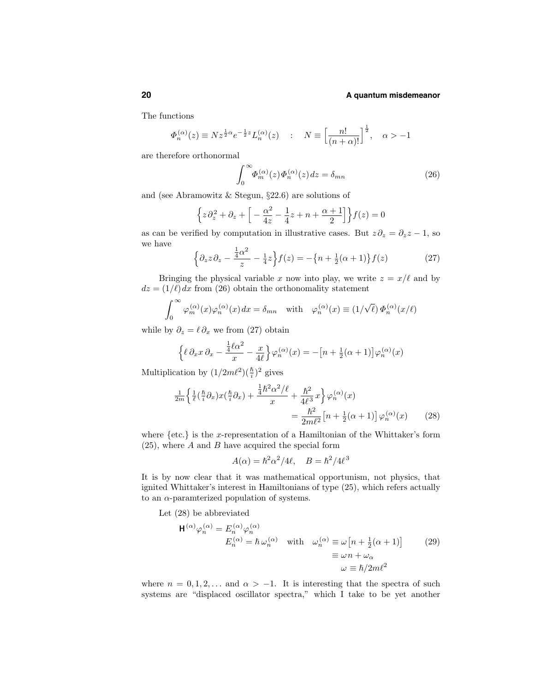The functions

$$
\varPhi_n^{(\alpha)}(z) \equiv N z^{\frac{1}{2}\alpha} e^{-\frac{1}{2}z} L_n^{(\alpha)}(z) \quad : \quad N \equiv \left[\frac{n!}{(n+\alpha)!}\right]^{\frac{1}{2}}, \quad \alpha > -1
$$

are therefore orthonormal

$$
\int_0^\infty \Phi_n^{(\alpha)}(z)\Phi_n^{(\alpha)}(z)dz = \delta_{mn} \tag{26}
$$

and (see Abramowitz & Stegun, §22.6) are solutions of

$$
\left\{ z\partial_z^2 + \partial_z + \left[ -\frac{\alpha^2}{4z} - \frac{1}{4}z + n + \frac{\alpha+1}{2} \right] \right\} f(z) = 0
$$

as can be verified by computation in illustrative cases. But  $z\partial_z = \partial_z z - 1$ , so we have

$$
\left\{\partial_z z \partial_z - \frac{\frac{1}{4}\alpha^2}{z} - \frac{1}{4}z\right\} f(z) = -\left\{n + \frac{1}{2}(\alpha + 1)\right\} f(z) \tag{27}
$$

Bringing the physical variable x now into play, we write  $z = x/\ell$  and by  $dz = (1/\ell) dx$  from (26) obtain the orthonomality statement

$$
\int_0^\infty \varphi_m^{(\alpha)}(x)\varphi_n^{(\alpha)}(x) dx = \delta_{mn} \quad \text{with} \quad \varphi_n^{(\alpha)}(x) \equiv (1/\sqrt{\ell}) \Phi_n^{(\alpha)}(x/\ell)
$$

while by  $\partial_z = \ell \partial_x$  we from (27) obtain

$$
\left\{\ell \partial_x x \partial_x - \frac{\frac{1}{4}\ell \alpha^2}{x} - \frac{x}{4\ell}\right\} \varphi_n^{(\alpha)}(x) = -\left[n + \frac{1}{2}(\alpha + 1)\right] \varphi_n^{(\alpha)}(x)
$$

Multiplication by  $(1/2m\ell^2)(\frac{\hbar}{i})^2$  gives

$$
\frac{1}{2m}\left\{\frac{1}{\ell}\left(\frac{\hbar}{i}\partial_{x}\right)x\left(\frac{\hbar}{i}\partial_{x}\right)+\frac{\frac{1}{4}\hbar^{2}\alpha^{2}/\ell}{x}+\frac{\hbar^{2}}{4\ell^{3}}x\right\}\varphi_{n}^{(\alpha)}(x) = \frac{\hbar^{2}}{2m\ell^{2}}\left[n+\frac{1}{2}(\alpha+1)\right]\varphi_{n}^{(\alpha)}(x) \tag{28}
$$

where  $\{etc.\}$  is the x-representation of a Hamiltonian of the Whittaker's form  $(25)$ , where A and B have acquired the special form

$$
A(\alpha) = \hbar^2 \alpha^2 / 4\ell, \quad B = \hbar^2 / 4\ell^3
$$

It is by now clear that it was mathematical opportunism, not physics, that ignited Whittaker's interest in Hamiltonians of type (25), which refers actually to an  $\alpha$ -paramterized population of systems.

Let (28) be abbreviated

$$
\mathsf{H}^{(\alpha)}\varphi_n^{(\alpha)} = E_n^{(\alpha)}\varphi_n^{(\alpha)}
$$
  
\n
$$
E_n^{(\alpha)} = \hbar \omega_n^{(\alpha)} \quad \text{with} \quad \omega_n^{(\alpha)} \equiv \omega \left[ n + \frac{1}{2}(\alpha + 1) \right] \qquad (29)
$$
  
\n
$$
\equiv \omega n + \omega_\alpha
$$
  
\n
$$
\omega \equiv \hbar/2m\ell^2
$$

where  $n = 0, 1, 2, \ldots$  and  $\alpha > -1$ . It is interesting that the spectra of such systems are "displaced oscillator spectra," which I take to be yet another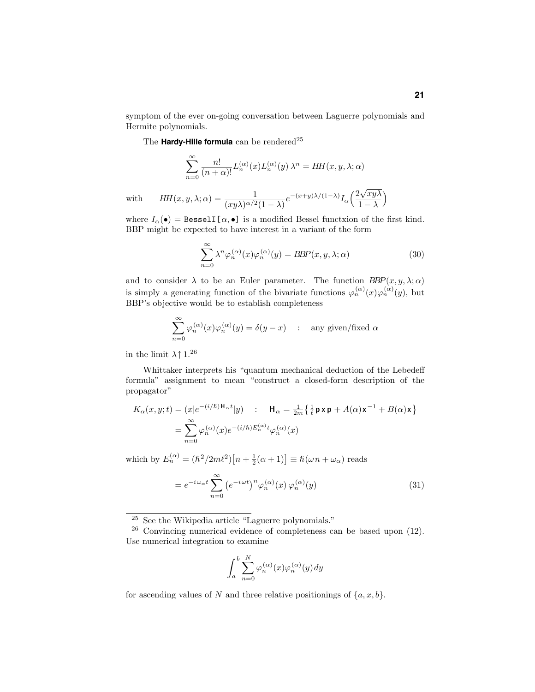symptom of the ever on-going conversation between Laguerre polynomials and Hermite polynomials.

The **Hardy-Hille formula** can be rendered<sup>25</sup>

$$
\sum_{n=0}^{\infty} \frac{n!}{(n+\alpha)!} L_n^{(\alpha)}(x) L_n^{(\alpha)}(y) \lambda^n = HH(x, y, \lambda; \alpha)
$$

with  $HH(x, y, \lambda; \alpha) = \frac{1}{(1 + \lambda) \alpha/2}$  $(xy\lambda)^{\alpha/2}(1-\lambda)$  $e^{-(x+y)\lambda/(1-\lambda)}I_{\alpha}\left(\frac{2\sqrt{xy\lambda}}{1-\lambda}\right)$  $1 - \lambda$ .

where  $I_{\alpha}(\bullet) =$  Bessel  $I[\alpha, \bullet]$  is a modified Bessel functsion of the first kind. BBP might be expected to have interest in a variant of the form

$$
\sum_{n=0}^{\infty} \lambda^n \varphi_n^{(\alpha)}(x) \varphi_n^{(\alpha)}(y) = B\!B\!P(x, y, \lambda; \alpha)
$$
\n(30)

and to consider  $\lambda$  to be an Euler parameter. The function  $BBP(x, y, \lambda; \alpha)$ is simply a generating function of the bivariate functions  $\varphi_n^{(\alpha)}(x)\varphi_n^{(\alpha)}(y)$ , but BBP's objective would be to establish completeness

$$
\sum_{n=0}^{\infty} \varphi_n^{(\alpha)}(x)\varphi_n^{(\alpha)}(y) = \delta(y-x) \quad : \quad \text{any given/fixed } \alpha
$$

in the limit  $\lambda \uparrow 1^{.26}$ 

Whittaker interprets his "quantum mechanical deduction of the Lebedeff formula" assignment to mean "construct a closed-form description of the propagator"

$$
K_{\alpha}(x, y; t) = (x|e^{-(i/\hbar)H_{\alpha}t}|y) : \mathbf{H}_{\alpha} = \frac{1}{2m} \left\{ \frac{1}{\ell} \mathbf{p} \mathbf{x} \mathbf{p} + A(\alpha) \mathbf{x}^{-1} + B(\alpha) \mathbf{x} \right\}
$$

$$
= \sum_{n=0}^{\infty} \varphi_n^{(\alpha)}(x) e^{-(i/\hbar)E_n^{(\alpha)}t} \varphi_n^{(\alpha)}(x)
$$

which by  $E_n^{(\alpha)} = (\hbar^2/2m\ell^2) [n + \frac{1}{2}(\alpha + 1)] \equiv \hbar(\omega n + \omega_\alpha)$  reads

$$
= e^{-i\omega_{\alpha}t} \sum_{n=0}^{\infty} \left( e^{-i\omega t} \right)^n \varphi_n^{(\alpha)}(x) \varphi_n^{(\alpha)}(y) \tag{31}
$$

$$
\int_a^b \sum_{n=0}^N \varphi_n^{(\alpha)}(x) \varphi_n^{(\alpha)}(y) \, dy
$$

for ascending values of N and three relative positionings of  $\{a, x, b\}$ .

<sup>25</sup> See the Wikipedia article "Laguerre polynomials."

<sup>26</sup> Convincing numerical evidence of completeness can be based upon (12). Use numerical integration to examine